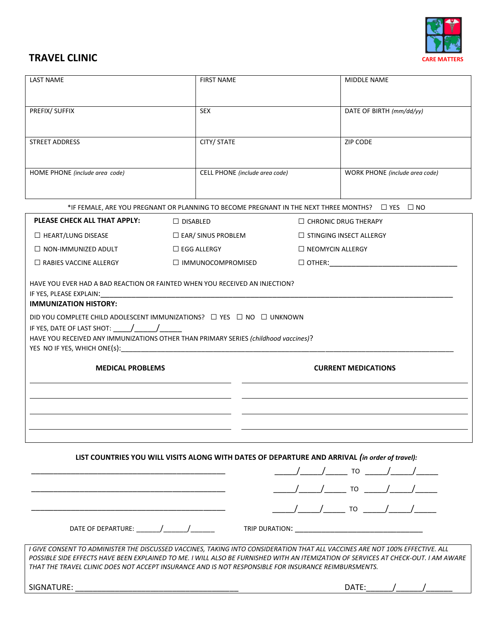

## **TRAVEL CLINIC** CARE MATTERS **CARE MATTERS**

| <b>LAST NAME</b>                                                                                                                                                                                                                                                                                                                                                                                                                                                                                                   | <b>FIRST NAME</b>              | <b>MIDDLE NAME</b>                                                                                                                                                                                                                                                 |  |  |  |  |  |
|--------------------------------------------------------------------------------------------------------------------------------------------------------------------------------------------------------------------------------------------------------------------------------------------------------------------------------------------------------------------------------------------------------------------------------------------------------------------------------------------------------------------|--------------------------------|--------------------------------------------------------------------------------------------------------------------------------------------------------------------------------------------------------------------------------------------------------------------|--|--|--|--|--|
| PREFIX/ SUFFIX                                                                                                                                                                                                                                                                                                                                                                                                                                                                                                     | <b>SEX</b>                     | DATE OF BIRTH (mm/dd/yy)                                                                                                                                                                                                                                           |  |  |  |  |  |
| <b>STREET ADDRESS</b>                                                                                                                                                                                                                                                                                                                                                                                                                                                                                              | CITY/ STATE                    | <b>ZIP CODE</b>                                                                                                                                                                                                                                                    |  |  |  |  |  |
| HOME PHONE (include area code)                                                                                                                                                                                                                                                                                                                                                                                                                                                                                     | CELL PHONE (include area code) | WORK PHONE (include area code)                                                                                                                                                                                                                                     |  |  |  |  |  |
| *IF FEMALE, ARE YOU PREGNANT OR PLANNING TO BECOME PREGNANT IN THE NEXT THREE MONTHS? □ YES □ NO                                                                                                                                                                                                                                                                                                                                                                                                                   |                                |                                                                                                                                                                                                                                                                    |  |  |  |  |  |
| PLEASE CHECK ALL THAT APPLY:                                                                                                                                                                                                                                                                                                                                                                                                                                                                                       | $\Box$ DISABLED                | $\Box$ CHRONIC DRUG THERAPY                                                                                                                                                                                                                                        |  |  |  |  |  |
| $\Box$ HEART/LUNG DISEASE                                                                                                                                                                                                                                                                                                                                                                                                                                                                                          | $\square$ EAR/ SINUS PROBLEM   | $\Box$ STINGING INSECT ALLERGY                                                                                                                                                                                                                                     |  |  |  |  |  |
| $\Box$ NON-IMMUNIZED ADULT                                                                                                                                                                                                                                                                                                                                                                                                                                                                                         | $\Box$ EGG ALLERGY             | $\Box$ NEOMYCIN ALLERGY                                                                                                                                                                                                                                            |  |  |  |  |  |
| $\Box$ RABIES VACCINE ALLERGY                                                                                                                                                                                                                                                                                                                                                                                                                                                                                      | $\Box$ IMMUNOCOMPROMISED       |                                                                                                                                                                                                                                                                    |  |  |  |  |  |
| HAVE YOU EVER HAD A BAD REACTION OR FAINTED WHEN YOU RECEIVED AN INJECTION?<br>IF YES, PLEASE EXPLAIN:<br><b>IMMUNIZATION HISTORY:</b>                                                                                                                                                                                                                                                                                                                                                                             |                                |                                                                                                                                                                                                                                                                    |  |  |  |  |  |
| DID YOU COMPLETE CHILD ADOLESCENT IMMUNIZATIONS? $\Box$ YES $\Box$ NO $\Box$ UNKNOWN                                                                                                                                                                                                                                                                                                                                                                                                                               |                                |                                                                                                                                                                                                                                                                    |  |  |  |  |  |
| IF YES, DATE OF LAST SHOT: $\frac{1}{\frac{1}{2} \cdot \frac{1}{2} \cdot \frac{1}{2} \cdot \frac{1}{2} \cdot \frac{1}{2} \cdot \frac{1}{2} \cdot \frac{1}{2} \cdot \frac{1}{2} \cdot \frac{1}{2} \cdot \frac{1}{2} \cdot \frac{1}{2} \cdot \frac{1}{2} \cdot \frac{1}{2} \cdot \frac{1}{2} \cdot \frac{1}{2} \cdot \frac{1}{2} \cdot \frac{1}{2} \cdot \frac{1}{2} \cdot \frac{1}{2} \cdot \frac{1}{2} \cdot \frac{1}{2} \$<br>HAVE YOU RECEIVED ANY IMMUNIZATIONS OTHER THAN PRIMARY SERIES (childhood vaccines)? |                                |                                                                                                                                                                                                                                                                    |  |  |  |  |  |
|                                                                                                                                                                                                                                                                                                                                                                                                                                                                                                                    |                                |                                                                                                                                                                                                                                                                    |  |  |  |  |  |
| <b>MEDICAL PROBLEMS</b>                                                                                                                                                                                                                                                                                                                                                                                                                                                                                            |                                | <b>CURRENT MEDICATIONS</b>                                                                                                                                                                                                                                         |  |  |  |  |  |
|                                                                                                                                                                                                                                                                                                                                                                                                                                                                                                                    |                                |                                                                                                                                                                                                                                                                    |  |  |  |  |  |
|                                                                                                                                                                                                                                                                                                                                                                                                                                                                                                                    |                                |                                                                                                                                                                                                                                                                    |  |  |  |  |  |
|                                                                                                                                                                                                                                                                                                                                                                                                                                                                                                                    |                                | LIST COUNTRIES YOU WILL VISITS ALONG WITH DATES OF DEPARTURE AND ARRIVAL (in order of travel):                                                                                                                                                                     |  |  |  |  |  |
|                                                                                                                                                                                                                                                                                                                                                                                                                                                                                                                    |                                |                                                                                                                                                                                                                                                                    |  |  |  |  |  |
|                                                                                                                                                                                                                                                                                                                                                                                                                                                                                                                    |                                |                                                                                                                                                                                                                                                                    |  |  |  |  |  |
|                                                                                                                                                                                                                                                                                                                                                                                                                                                                                                                    |                                |                                                                                                                                                                                                                                                                    |  |  |  |  |  |
| DATE OF DEPARTURE: ________/________/__________                                                                                                                                                                                                                                                                                                                                                                                                                                                                    |                                | TRIP DURATION: WE ARRIVE THE RESERVE THAT A RESERVE THE RESERVE THAT A RESERVE THAT A RESERVE THAT A RESERVE THAT A RESERVE THAT A RESERVE THAT A RESERVE THAT A RESERVE THAT A REPORT OF THE VEHICLE THAT A REPORT OF THE VEH                                     |  |  |  |  |  |
| THAT THE TRAVEL CLINIC DOES NOT ACCEPT INSURANCE AND IS NOT RESPONSIBLE FOR INSURANCE REIMBURSMENTS.                                                                                                                                                                                                                                                                                                                                                                                                               |                                | I GIVE CONSENT TO ADMINISTER THE DISCUSSED VACCINES, TAKING INTO CONSIDERATION THAT ALL VACCINES ARE NOT 100% EFFECTIVE. ALL<br>POSSIBLE SIDE EFFECTS HAVE BEEN EXPLAINED TO ME. I WILL ALSO BE FURNISHED WITH AN ITEMIZATION OF SERVICES AT CHECK-OUT. I AM AWARE |  |  |  |  |  |
| SIGNATURE:                                                                                                                                                                                                                                                                                                                                                                                                                                                                                                         |                                |                                                                                                                                                                                                                                                                    |  |  |  |  |  |